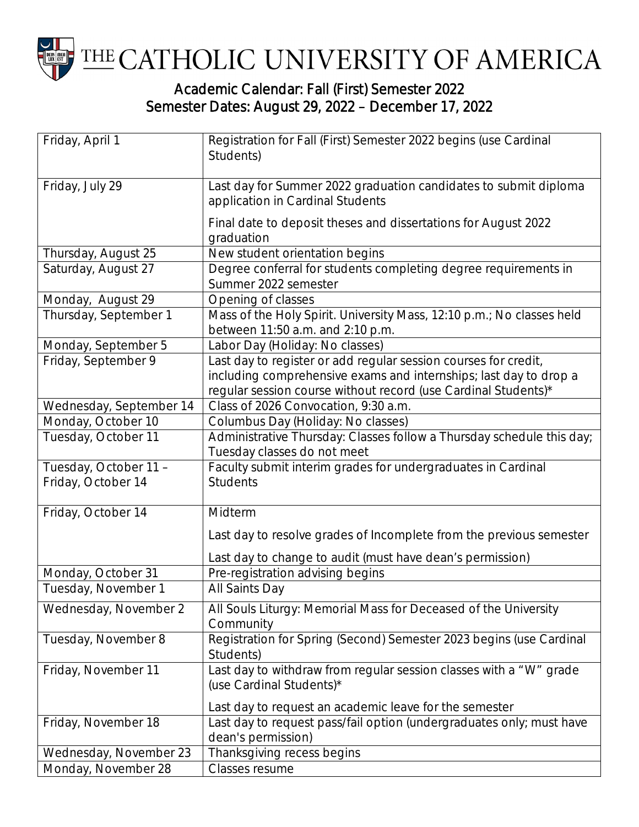

## Semester Dates: August 29, 2022 – December 17, 2022

| Friday, April 1                             | Registration for Fall (First) Semester 2022 begins (use Cardinal<br>Students)                                                                                                                          |
|---------------------------------------------|--------------------------------------------------------------------------------------------------------------------------------------------------------------------------------------------------------|
| Friday, July 29                             | Last day for Summer 2022 graduation candidates to submit diploma<br>application in Cardinal Students                                                                                                   |
|                                             | Final date to deposit theses and dissertations for August 2022<br>graduation                                                                                                                           |
| Thursday, August 25                         | New student orientation begins                                                                                                                                                                         |
| Saturday, August 27                         | Degree conferral for students completing degree requirements in<br>Summer 2022 semester                                                                                                                |
| Monday, August 29                           | Opening of classes                                                                                                                                                                                     |
| Thursday, September 1                       | Mass of the Holy Spirit. University Mass, 12:10 p.m.; No classes held<br>between 11:50 a.m. and 2:10 p.m.                                                                                              |
| Monday, September 5                         | Labor Day (Holiday: No classes)                                                                                                                                                                        |
| Friday, September 9                         | Last day to register or add regular session courses for credit,<br>including comprehensive exams and internships; last day to drop a<br>regular session course without record (use Cardinal Students)* |
| Wednesday, September 14                     | Class of 2026 Convocation, 9:30 a.m.                                                                                                                                                                   |
| Monday, October 10                          | Columbus Day (Holiday: No classes)                                                                                                                                                                     |
| Tuesday, October 11                         | Administrative Thursday: Classes follow a Thursday schedule this day;<br>Tuesday classes do not meet                                                                                                   |
| Tuesday, October 11 -<br>Friday, October 14 | Faculty submit interim grades for undergraduates in Cardinal<br><b>Students</b>                                                                                                                        |
| Friday, October 14                          | Midterm                                                                                                                                                                                                |
|                                             | Last day to resolve grades of Incomplete from the previous semester                                                                                                                                    |
|                                             | Last day to change to audit (must have dean's permission)                                                                                                                                              |
| Monday, October 31                          | Pre-registration advising begins                                                                                                                                                                       |
| Tuesday, November 1                         | All Saints Day                                                                                                                                                                                         |
| Wednesday, November 2                       | All Souls Liturgy: Memorial Mass for Deceased of the University<br>Community                                                                                                                           |
| Tuesday, November 8                         | Registration for Spring (Second) Semester 2023 begins (use Cardinal<br>Students)                                                                                                                       |
| Friday, November 11                         | Last day to withdraw from regular session classes with a "W" grade<br>(use Cardinal Students)*                                                                                                         |
|                                             | Last day to request an academic leave for the semester                                                                                                                                                 |
| Friday, November 18                         | Last day to request pass/fail option (undergraduates only; must have<br>dean's permission)                                                                                                             |
| Wednesday, November 23                      | Thanksgiving recess begins                                                                                                                                                                             |
| Monday, November 28                         | Classes resume                                                                                                                                                                                         |